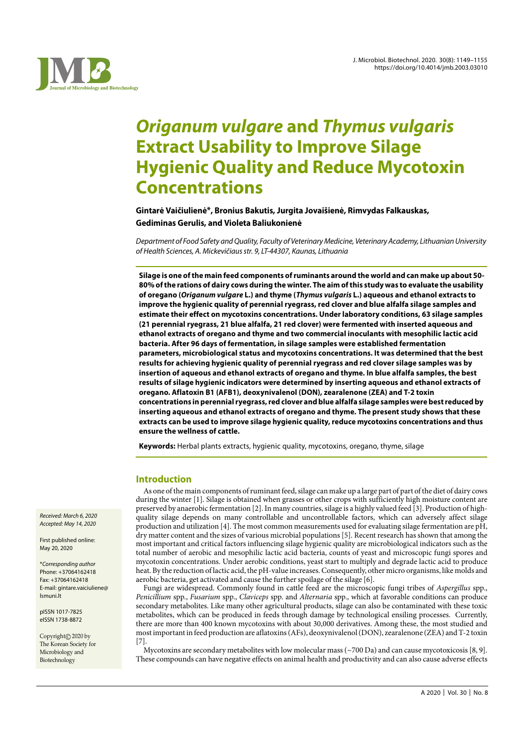

# *Origanum vulgare* **and** *Thymus vulgaris*  **Extract Usability to Improve Silage Hygienic Quality and Reduce Mycotoxin Concentrations**

**Gintarė Vaičiulienė\*, Bronius Bakutis, Jurgita Jovaišienė, Rimvydas Falkauskas, Gediminas Gerulis, and Violeta Baliukonienė**

Department of Food Safety and Quality, Faculty of Veterinary Medicine, Veterinary Academy, Lithuanian University of Health Sciences, A. Mickevičiaus str. 9, LT-44307, Kaunas, Lithuania

**Silage is one of the main feed components of ruminants around the world and can make up about 50- 80% of the rations of dairy cows during the winter. The aim of this study was to evaluate the usability of oregano (***Origanum vulgare* **L.) and thyme (***Thymus vulgaris* **L.) aqueous and ethanol extracts to improve the hygienic quality of perennial ryegrass, red clover and blue alfalfa silage samples and estimate their effect on mycotoxins concentrations. Under laboratory conditions, 63 silage samples (21 perennial ryegrass, 21 blue alfalfa, 21 red clover) were fermented with inserted aqueous and ethanol extracts of oregano and thyme and two commercial inoculants with mesophilic lactic acid bacteria. After 96 days of fermentation, in silage samples were established fermentation parameters, microbiological status and mycotoxins concentrations. It was determined that the best results for achieving hygienic quality of perennial ryegrass and red clover silage samples was by insertion of aqueous and ethanol extracts of oregano and thyme. In blue alfalfa samples, the best results of silage hygienic indicators were determined by inserting aqueous and ethanol extracts of oregano. Aflatoxin B1 (AFB1), deoxynivalenol (DON), zearalenone (ZEA) and T-2 toxin concentrations in perennial ryegrass, red clover and blue alfalfa silage samples were best reduced by inserting aqueous and ethanol extracts of oregano and thyme. The present study shows that these extracts can be used to improve silage hygienic quality, reduce mycotoxins concentrations and thus ensure the wellness of cattle.**

**Keywords:** Herbal plants extracts, hygienic quality, mycotoxins, oregano, thyme, silage

## **Introduction**

As one of the main components of ruminant feed, silage can make up a large part of part of the diet of dairy cows during the winter [1]. Silage is obtained when grasses or other crops with sufficiently high moisture content are preserved by anaerobic fermentation [2]. In many countries, silage is a highly valued feed [3]. Production of highquality silage depends on many controllable and uncontrollable factors, which can adversely affect silage production and utilization [4]. The most common measurements used for evaluating silage fermentation are pH, dry matter content and the sizes of various microbial populations [5]. Recent research has shown that among the most important and critical factors influencing silage hygienic quality are microbiological indicators such as the total number of aerobic and mesophilic lactic acid bacteria, counts of yeast and microscopic fungi spores and mycotoxin concentrations. Under aerobic conditions, yeast start to multiply and degrade lactic acid to produce heat. By the reduction of lactic acid, the pH-value increases. Consequently, other micro organisms, like molds and aerobic bacteria, get activated and cause the further spoilage of the silage [6].

Fungi are widespread. Commonly found in cattle feed are the microscopic fungi tribes of *Aspergillus* spp., *Penicillium* spp., *Fusarium* spp., *Claviceps* spp. and *Alternaria* spp., which at favorable conditions can produce secondary metabolites. Like many other agricultural products, silage can also be contaminated with these toxic metabolites, which can be produced in feeds through damage by technological ensiling processes. Currently, there are more than 400 known mycotoxins with about 30,000 derivatives. Among these, the most studied and most important in feed production are aflatoxins (AFs), deoxynivalenol (DON), zearalenone (ZEA) and T-2 toxin [7].

Mycotoxins are secondary metabolites with low molecular mass (~700 Da) and can cause mycotoxicosis [8, 9]. These compounds can have negative effects on animal health and productivity and can also cause adverse effects

Received: March 6, 2020 Accepted: May 14, 2020

First published online: May 20, 2020

\*Corresponding author Phone: +37064162418 Fax: +37064162418 E-mail: gintare.vaiciuliene@ lsmuni.lt

pISSN 1017-7825 eISSN 1738-8872

Copyright© 2020 by The Korean Society for Microbiology and Biotechnology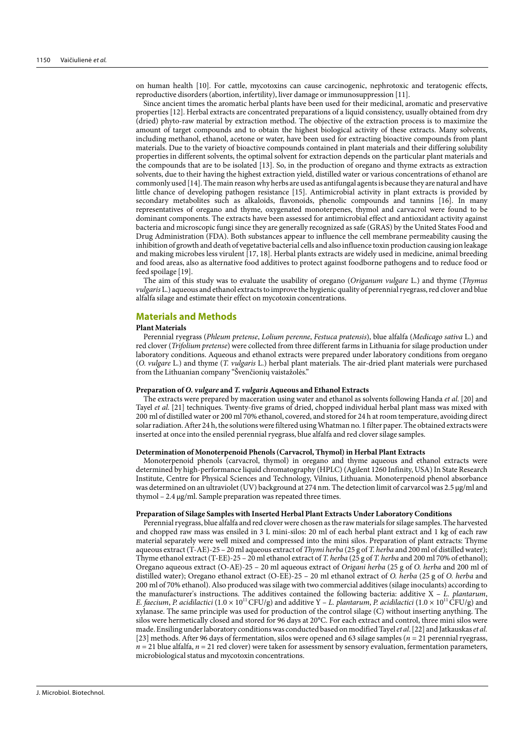on human health [10]. For cattle, mycotoxins can cause carcinogenic, nephrotoxic and teratogenic effects, reproductive disorders (abortion, infertility), liver damage or immunosuppression [11].

Since ancient times the aromatic herbal plants have been used for their medicinal, aromatic and preservative properties [12]. Herbal extracts are concentrated preparations of a liquid consistency, usually obtained from dry (dried) phyto-raw material by extraction method. The objective of the extraction process is to maximize the amount of target compounds and to obtain the highest biological activity of these extracts. Many solvents, including methanol, ethanol, acetone or water, have been used for extracting bioactive compounds from plant materials. Due to the variety of bioactive compounds contained in plant materials and their differing solubility properties in different solvents, the optimal solvent for extraction depends on the particular plant materials and the compounds that are to be isolated [13]. So, in the production of oregano and thyme extracts as extraction solvents, due to their having the highest extraction yield, distilled water or various concentrations of ethanol are commonly used [14]. The main reason why herbs are used as antifungal agents is because they are natural and have little chance of developing pathogen resistance [15]. Antimicrobial activity in plant extracts is provided by secondary metabolites such as alkaloids, flavonoids, phenolic compounds and tannins [16]. In many representatives of oregano and thyme, oxygenated monoterpenes, thymol and carvacrol were found to be dominant components. The extracts have been assessed for antimicrobial effect and antioxidant activity against bacteria and microscopic fungi since they are generally recognized as safe (GRAS) by the United States Food and Drug Administration (FDA). Both substances appear to influence the cell membrane permeability causing the inhibition of growth and death of vegetative bacterial cells and also influence toxin production causing ion leakage and making microbes less virulent [17, 18]. Herbal plants extracts are widely used in medicine, animal breeding and food areas, also as alternative food additives to protect against foodborne pathogens and to reduce food or feed spoilage [19].

The aim of this study was to evaluate the usability of oregano (*Origanum vulgare* L.) and thyme (*Thymus vulgaris* L.) aqueous and ethanol extracts to improve the hygienic quality of perennial ryegrass, red clover and blue alfalfa silage and estimate their effect on mycotoxin concentrations.

## **Materials and Methods**

#### **Plant Materials**

Perennial ryegrass (*Phleum pretense*, *Lolium perenne*, *Festuca pratensis*), blue alfalfa (*Medicago sativa* L.) and red clover (*Trifolium pretense*) were collected from three different farms in Lithuania for silage production under laboratory conditions. Aqueous and ethanol extracts were prepared under laboratory conditions from oregano (*O. vulgare* L.) and thyme (*T. vulgaris* L.) herbal plant materials. The air-dried plant materials were purchased from the Lithuanian company "Švenčionių vaistažolės."

#### **Preparation of** *O. vulgare* **and** *T. vulgaris* **Aqueous and Ethanol Extracts**

The extracts were prepared by maceration using water and ethanol as solvents following Handa *et al*. [20] and Tayel *et al*. [21] techniques. Twenty-five grams of dried, chopped individual herbal plant mass was mixed with 200 ml of distilled water or 200 ml 70% ethanol, covered, and stored for 24 h at room temperature, avoiding direct solar radiation. After 24 h, the solutions were filtered using Whatman no. 1 filter paper. The obtained extracts were inserted at once into the ensiled perennial ryegrass, blue alfalfa and red clover silage samples.

#### **Determination of Monoterpenoid Phenols (Carvacrol, Thymol) in Herbal Plant Extracts**

Monoterpenoid phenols (carvacrol, thymol) in oregano and thyme aqueous and ethanol extracts were determined by high-performance liquid chromatography (HPLC) (Agilent 1260 Infinity, USA) In State Research Institute, Centre for Physical Sciences and Technology, Vilnius, Lithuania. Monoterpenoid phenol absorbance was determined on an ultraviolet (UV) background at 274 nm. The detection limit of carvarcol was 2.5 μg/ml and thymol – 2.4 μg/ml. Sample preparation was repeated three times.

#### **Preparation of Silage Samples with Inserted Herbal Plant Extracts Under Laboratory Conditions**

Perennial ryegrass, blue alfalfa and red clover were chosen as the raw materials for silage samples. The harvested and chopped raw mass was ensiled in 3 L mini-silos: 20 ml of each herbal plant extract and 1 kg of each raw material separately were well mixed and compressed into the mini silos. Preparation of plant extracts: Thyme aqueous extract (T-AE)-25 – 20 ml aqueous extract of *Thymi herba* (25 g of *T. herba* and 200 ml of distilled water); Thyme ethanol extract (T-EE)-25 – 20 ml ethanol extract of *T. herba* (25 g of *T. herba* and 200 ml 70% of ethanol); Oregano aqueous extract (O-AE)-25 – 20 ml aqueous extract of *Origani herba* (25 g of *O. herba* and 200 ml of distilled water); Oregano ethanol extract (O-EE)-25 – 20 ml ethanol extract of *O. herba* (25 g of *O. herba* and 200 ml of 70% ethanol). Also produced was silage with two commercial additives (silage inoculants) according to the manufacturer's instructions. The additives contained the following bacteria: additive X – *L. plantarum*, *E. faecium, P. acidilactici*  $(1.0 \times 10^{11} \text{CFU/g})$  and additive Y – *L. plantarum, P. acidilactici*  $(1.0 \times 10^{11} \text{CFU/g})$  and xylanase. The same principle was used for production of the control silage (C) without inserting anything. The silos were hermetically closed and stored for 96 days at 20°C. For each extract and control, three mini silos were made. Ensiling under laboratory conditions was conducted based on modified Tayel *et al*. [22] and Jatkauskas *et al.* [23] methods. After 96 days of fermentation, silos were opened and 63 silage samples (*n* = 21 perennial ryegrass,  $n = 21$  blue alfalfa,  $n = 21$  red clover) were taken for assessment by sensory evaluation, fermentation parameters, microbiological status and mycotoxin concentrations.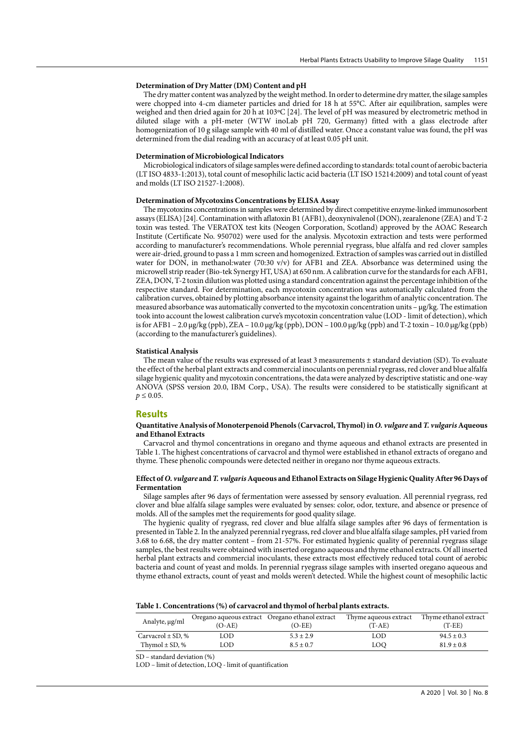#### **Determination of Dry Matter (DM) Content and pH**

The dry matter content was analyzed by the weight method. In order to determine dry matter, the silage samples were chopped into 4-cm diameter particles and dried for 18 h at 55°C. After air equilibration, samples were weighed and then dried again for 20 h at 103ºC [24]. The level of pH was measured by electrometric method in diluted silage with a pH-meter (WTW inoLab pH 720, Germany) fitted with a glass electrode after homogenization of 10 g silage sample with 40 ml of distilled water. Once a constant value was found, the pH was determined from the dial reading with an accuracy of at least 0.05 pH unit.

#### **Determination of Microbiological Indicators**

Microbiological indicators of silage samples were defined according to standards: total count of aerobic bacteria (LT ISO 4833-1:2013), total count of mesophilic lactic acid bacteria (LT ISO 15214:2009) and total count of yeast and molds (LT ISO 21527-1:2008).

#### **Determination of Mycotoxins Concentrations by ELISA Assay**

The mycotoxins concentrations in samples were determined by direct competitive enzyme-linked immunosorbent assays (ELISA) [24]. Contamination with aflatoxin B1 (AFB1), deoxynivalenol (DON), zearalenone (ZEA) and T-2 toxin was tested. The VERATOX test kits (Neogen Corporation, Scotland) approved by the AOAC Research Institute (Certificate No. 950702) were used for the analysis. Mycotoxin extraction and tests were performed according to manufacturer's recommendations. Whole perennial ryegrass, blue alfalfa and red clover samples were air-dried, ground to pass a 1 mm screen and homogenized. Extraction of samples was carried out in distilled water for DON, in methanol:water (70:30 v/v) for AFB1 and ZEA. Absorbance was determined using the microwell strip reader (Bio-tek Synergy HT, USA) at 650 nm. A calibration curve for the standards for each AFB1, ZEA, DON, T-2 toxin dilution was plotted using a standard concentration against the percentage inhibition of the respective standard. For determination, each mycotoxin concentration was automatically calculated from the calibration curves, obtained by plotting absorbance intensity against the logarithm of analytic concentration. The measured absorbance was automatically converted to the mycotoxin concentration units – μg/kg. The estimation took into account the lowest calibration curve's mycotoxin concentration value (LOD - limit of detection), which is for AFB1 – 2.0 μg/kg (ppb), ZEA – 10.0 μg/kg (ppb), DON – 100.0 μg/kg (ppb) and T-2 toxin – 10.0 μg/kg (ppb) (according to the manufacturer's guidelines).

#### **Statistical Analysis**

The mean value of the results was expressed of at least 3 measurements ± standard deviation (SD). To evaluate the effect of the herbal plant extracts and commercial inoculants on perennial ryegrass, red clover and blue alfalfa silage hygienic quality and mycotoxin concentrations, the data were analyzed by descriptive statistic and one-way ANOVA (SPSS version 20.0, IBM Corp., USA). The results were considered to be statistically significant at  $p \le 0.05$ .

#### **Results**

#### **Quantitative Analysis of Monoterpenoid Phenols (Carvacrol, Thymol) in** *O. vulgare* **and** *T. vulgaris* **Aqueous and Ethanol Extracts**

Carvacrol and thymol concentrations in oregano and thyme aqueous and ethanol extracts are presented in Table 1. The highest concentrations of carvacrol and thymol were established in ethanol extracts of oregano and thyme. These phenolic compounds were detected neither in oregano nor thyme aqueous extracts.

#### **Effect of** *O. vulgare* **and** *T. vulgaris* **Aqueous and Ethanol Extracts on Silage Hygienic Quality After 96 Days of Fermentation**

Silage samples after 96 days of fermentation were assessed by sensory evaluation. All perennial ryegrass, red clover and blue alfalfa silage samples were evaluated by senses: color, odor, texture, and absence or presence of molds. All of the samples met the requirements for good quality silage.

The hygienic quality of ryegrass, red clover and blue alfalfa silage samples after 96 days of fermentation is presented in Table 2. In the analyzed perennial ryegrass, red clover and blue alfalfa silage samples, pH varied from 3.68 to 6.68, the dry matter content – from 21-57%. For estimated hygienic quality of perennial ryegrass silage samples, the best results were obtained with inserted oregano aqueous and thyme ethanol extracts. Of all inserted herbal plant extracts and commercial inoculants, these extracts most effectively reduced total count of aerobic bacteria and count of yeast and molds. In perennial ryegrass silage samples with inserted oregano aqueous and thyme ethanol extracts, count of yeast and molds weren't detected. While the highest count of mesophilic lactic

| Analyte, µg/ml        | Oregano aqueous extract Oregano ethanol extract<br>(O-AE) | $(O-EE)$      | Thyme aqueous extract<br>$(T-AE)$ | Thyme ethanol extract<br>(T-EE) |  |
|-----------------------|-----------------------------------------------------------|---------------|-----------------------------------|---------------------------------|--|
| Carvacrol $\pm$ SD, % | OD                                                        | $5.3 \pm 2.9$ | LOD                               | $94.5 \pm 0.3$                  |  |
| Thymol $\pm$ SD, %    | .OD                                                       | $8.5 + 0.7$   | LOQ.                              | $81.9 \pm 0.8$                  |  |

SD – standard deviation (%)

LOD – limit of detection, LOQ - limit of quantification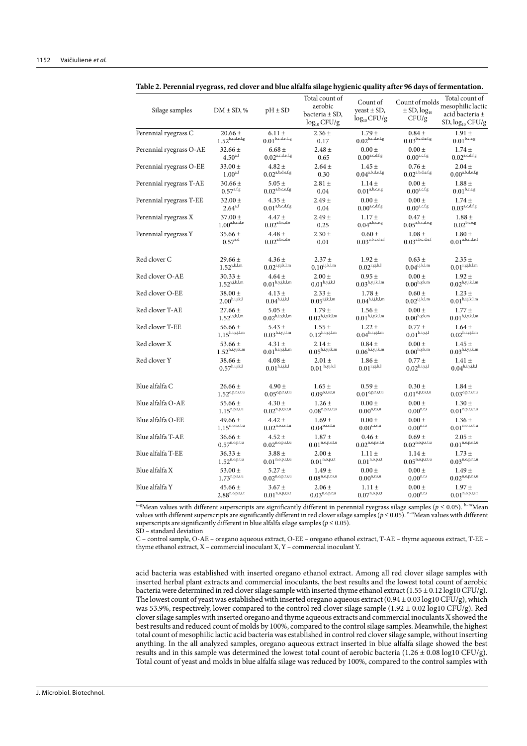| Silage samples          | $DM \pm SD$ , %               | $pH \pm SD$                   | Total count of<br>aerobic<br>bacteria ± SD,<br>$log_{10}$ CFU/g                | Count of<br>veast $\pm$ SD,<br>$log_{10}$ CFU/g                 | Count of molds<br>$\pm$ SD, $log_{10}$<br>CFU/g                                | Total count of<br>mesophiliclactic<br>acid bacteria $\pm$<br>$SD, log_{10} CFU/g$ |
|-------------------------|-------------------------------|-------------------------------|--------------------------------------------------------------------------------|-----------------------------------------------------------------|--------------------------------------------------------------------------------|-----------------------------------------------------------------------------------|
| Perennial ryegrass C    | $20.66 \pm$                   | $6.11 \pm$                    | $2.36 \pm$                                                                     | $1.79 \pm$                                                      | $0.84 \pm$                                                                     | $1.91 \pm$                                                                        |
|                         | $1.52^{\mathrm{b,c,d,e,f,g}}$ | $0.01^{\mathrm{b,c,d,e,f,g}}$ | 0.17                                                                           | $0.02^{\mathrm{b,c,d,e,f,g}}$                                   | $0.03^{\mathrm{b,c,d,e,f,g}}$                                                  | $0.01^{b,c,e,g}$                                                                  |
| Perennial ryegrass O-AE | $32.66 \pm$                   | $6.68 \pm$                    | $2.48 \pm$                                                                     | $0.00 \pm$                                                      | $0.00 \pm$                                                                     | $1.74 \pm$                                                                        |
|                         | $4.50^{\mathrm{a,f}}$         | $0.02^{\mathrm{a,c,d,e,f,g}}$ | 0.65                                                                           | $0.00^{\mathrm{a,c,d,f,g}}$                                     | $0.00^{a,c,f,g}$                                                               | $0.02^{\mathrm{a,c,d,f,g}}$                                                       |
| Perennial ryegrass O-EE | $33.00 \pm$                   | $4.82 \pm$                    | $2.64 \pm$                                                                     | $1.45 \pm$                                                      | $0.76 \pm$                                                                     | $2.04 \pm$                                                                        |
|                         | $1.00^{\mathrm{a,f}}$         | $0.02^{\mathrm{a,b,d,e,f,g}}$ | 0.30                                                                           | $0.04^{\mathrm{a,b,d,e,f,g}}$                                   | $0.02^{\mathrm{a,b,d,e,f,g}}$                                                  | $0.00^{\mathrm{a,b,d,e,f,g}}$                                                     |
| Perennial ryegrass T-AE | $30.66 \pm$                   | $5.05 \pm$                    | $2.81 \pm$                                                                     | $1.14 \pm$                                                      | $0.00 \pm$                                                                     | $1.88 \pm$                                                                        |
|                         | $0.57^{\text{a,f,g}}$         | $0.02^{\mathrm{a,b,c,e,f,g}}$ | 0.04                                                                           | $0.01^{\mathrm{a},\mathrm{b},\mathrm{c},\mathrm{e},\mathrm{g}}$ | $0.00^{a,c,f,g}$                                                               | $0.01^{\mathrm{b,c,e,g}}$                                                         |
| Perennial ryegrass T-EE | $32.00 \pm$                   | $4.35 +$                      | $2.49 \pm$                                                                     | $0.00 +$                                                        | $0.00 \pm$                                                                     | $1.74 +$                                                                          |
|                         | $2.64^{a,f}$                  | $0.01^{\mathrm{a,b,c,d,f,g}}$ | 0.04                                                                           | $0.00^{\mathrm{a,c,d,f,g}}$                                     | $0.00^{a,c,f,g}$                                                               | $0.03^{\mathrm{a,c,d,f,g}}$                                                       |
| Perennial ryegrass X    | $37.00 \pm$                   | $4.47 +$                      | $2.49 \pm$                                                                     | $1.17 +$                                                        | $0.47 \pm$                                                                     | $1.88 \pm$                                                                        |
|                         | $1.00^{a,b,c,d,e}$            | $0.02^{\mathrm{a,b,c,d,e}}$   | 0.25                                                                           | $0.04^{\mathrm{a,b,c,e,g}}$                                     | $0.05^{\mathrm{a,b,c,d,e,g}}$                                                  | $0.02^{{\rm b,c,e,g}}$                                                            |
| Perennial ryegrass Y    | $35.66 \pm$                   | $4.48 \pm$                    | $2.30 \pm$                                                                     | $0.60 \pm$                                                      | $1.08 \pm$                                                                     | $1.80 \pm$                                                                        |
|                         | $0.57^{a,d}$                  | $0.02^{\mathrm{a,b,c,d,e}}$   | 0.01                                                                           | $0.03^{\mathrm{a,b,c,d,e,f}}$                                   | $0.03^{a,b,c,d,e,f}$                                                           | $0.01^{\mathrm{a,b,c,d,e,f}}$                                                     |
| Red clover C            | $29.66 \pm$                   | $4.36 \pm$                    | $2.37 +$                                                                       | $1.92 +$                                                        | $0.63 \pm$                                                                     | $2.35 \pm$                                                                        |
|                         | $1.52^{y,k,l,m}$              | $0.02^{\mathrm{i,y,j,k,l,m}}$ | $0.10^{\mathrm{i}, \mathrm{j}, \mathrm{k}, \overline{\mathrm{l}}, \mathrm{m}}$ | $0.02^{\mathrm{i,y,j,k,l}}$                                     | $0.04^{\mathrm{i}, \mathrm{j}, \mathrm{k}, \overline{\mathrm{l}}, \mathrm{m}}$ | $0.01^{\mathrm{i,y,j,k,l,m}}$                                                     |
| Red clover O-AE         | $30.33 \pm$                   | $4.64 \pm$                    | $2.00 \pm$                                                                     | $0.95 \pm$                                                      | $0.00 \pm$                                                                     | $1.92 \pm$                                                                        |
|                         | $1.52^{y,j,k,l,m}$            | $0.01^{\rm h,y,j,k,l,m}$      | $0.01^{\rm h,y,j,k,l}$                                                         | $0.03^{\rm h,y,j,k,l,m}$                                        | $0.00^{\mathrm{h},\mathrm{y},\mathrm{k},\mathrm{m}}$                           | $0.02^{\mathrm{h},y,j,k,l,m}$                                                     |
| Red clover O-EE         | $38.00 \pm$                   | $4.13 \pm$                    | $2.33 +$                                                                       | $1.78 \pm$                                                      | $0.60 \pm$                                                                     | $1.23 \pm$                                                                        |
|                         | $2.00^{\mathrm{h,i,j,k,l}}$   | $0.04^{\text{h,i,j,k,l}}$     | $0.05^{\rm i,j,k,l,m}$                                                         | $0.04^{\rm h,i,j,k,l,m}$                                        | $0.02^{\rm i,j,k,l,m}$                                                         | $0.01^{\rm h,i,j,k,l,m}$                                                          |
| Red clover T-AE         | $27.66 \pm$                   | $5.05 \pm$                    | $1.79 \pm$                                                                     | $1.56 \pm$                                                      | $0.00 \pm$                                                                     | $1.77 \pm$                                                                        |
|                         | $1.52^{i,y,k,l,m}$            | $0.02^{\text{h,i,y,k,l,m}}$   | $0.02^{\text{h,i,y,k,l,m}}$                                                    | $0.01^{\rm h,i,y,k,l,m}$                                        | $0.00^{h,y,k,m}$                                                               | $0.01^{\rm h,i,y,k,l,m}$                                                          |
| Red clover T-EE         | 56.66 $\pm$                   | $5.43 \pm$                    | $1.55 \pm$                                                                     | $1.22 \pm$                                                      | $0.77 \pm$                                                                     | $1.64 \pm$                                                                        |
|                         | $1.15^{\rm h,i,y,j,l,m}$      | $0.03^{\mathrm{h,i,y,j,l,m}}$ | $0.12^{\rm h,i,y,j,l,m}$                                                       | $0.04^{\rm h,i,y,j,l,m}$                                        | $0.01^{\rm h,i,y,j,l}$                                                         | $0.02^{\rm h,i,y,j,l,m}$                                                          |
| Red clover X            | 53.66 $\pm$                   | $4.31 \pm$                    | $2.14 \pm$                                                                     | $0.84 \pm$                                                      | $0.00 \pm$                                                                     | $1.45 \pm$                                                                        |
|                         | $1.52^{{\rm h},i,y,j,k,m}$    | $0.01^{\rm h,i,y,j,k,m}$      | $0.05^{\rm h,i,y,j,k,m}$                                                       | $0.06^{\text{h,i,y,j,k,m}}$                                     | $0.00^{\text{h},\text{y},\text{k},\text{m}}$                                   | $0.03^{\rm h,i,y,j,k,m}$                                                          |
| Red clover Y            | $38.66 \pm$                   | $4.08 \pm$                    | $2.01 \pm$                                                                     | $1.86 \pm$                                                      | $0.77 \pm$                                                                     | $1.41 \pm$                                                                        |
|                         | $0.57^{\mathrm{h,i,j,k,l}}$   | $0.01^{\text{h,i,j,k,l}}$     | $0.01$ $^{\rm h,y,j,k,l}$                                                      | $0.01^{{\rm i,y,j,k,l}}$                                        | $0.02^{{\rm h,i,y,j,l}}$                                                       | $0.04^{\rm h,i,y,j,k,l}$                                                          |
| Blue alfalfa C          | $26.66 \pm$                   | $4.90 \pm$                    | $1.65 \pm$                                                                     | $0.59 \pm$                                                      | $0.30 \pm$                                                                     | $1.84 \pm$                                                                        |
|                         | $1.52^{\text{o},p,r,s,t,u}$   | $0.05^{\rm o,p,r,s,t,u}$      | $0.09^{\text{o,r,s,t,u}}$                                                      | $0.01^{\text{o},p,r,s,t,u}$                                     | $0.01^{\rm o,p,r,s,t,u}$                                                       | $0.03^{\rm o,p,r,s,t,u}$                                                          |
| Blue alfalfa O-AE       | 55.66 $\pm$                   | $4.30 \pm$                    | $1.26 \pm$                                                                     | $0.00 \pm$                                                      | $0.00 \pm$                                                                     | $1.30 \pm$                                                                        |
|                         | $1.15^{n,p,r,s,u}$            | $0.02^{\rm n,p,r,s,t,u}$      | $0.08^{\mathrm{n},\mathrm{p},\mathrm{r},\mathrm{s},\mathrm{t},\mathrm{u}}$     | $0.00^{\mathrm{n,r,s,u}}$                                       | $0.00^{n,r,s}$                                                                 | $0.01^{\mathrm{n},\mathrm{p},\mathrm{r},\mathrm{s},\mathrm{t},\mathrm{u}}$        |
| Blue alfalfa O-EE       | $49.66 \pm$                   | $4.42 \pm$                    | $1.69 \pm$                                                                     | $0.00 \pm$                                                      | $0.00 \pm$                                                                     | $1.36 \pm$                                                                        |
|                         | $1.15^{\text{n,o,r,s,t,u}}$   | $0.02^{\text{n,o,r,s,t,u}}$   | $0.04^{\mathrm{o,r,s,t,u}}$                                                    | $0.00^{c,r,s,u}$                                                | $0.00^{n,r,s}$                                                                 | $0.01^{\rm n,o,r,s,t,u}$                                                          |
| Blue alfalfa T-AE       | $36.66 \pm$                   | $4.52 \pm$                    | $1.87 +$                                                                       | $0.46 \pm$                                                      | $0.69 \pm$                                                                     | $2.05 \pm$                                                                        |
|                         | $0.57^{n, o, p, t, u}$        | $0.02^{n, o, p, s, t, u}$     | $0.01^{\text{n,o},\text{p},\text{s},\text{t},\text{u}}$                        | $0.02^{\rm n,o,p,s,t,u}$                                        | $0.02^{n, o, p, s, t, u}$                                                      | $0.01^{\rm n,o,p,s,t,u}$                                                          |
| Blue alfalfa T-EE       | $36.33 \pm$                   | $3.88 \pm$                    | $2.00 \pm$                                                                     | $1.11 \pm$                                                      | $1.14 \pm$                                                                     | $1.73 \pm$                                                                        |
|                         | $1.52^{n,o,p,t,u}$            | $0.01^{\rm n,o,p,r,t,u}$      | $0.01^{\rm n,o,p,r,t}$                                                         | $0.01^{\rm n,o,p,r,t}$                                          | $0.05^{\text{n,o},\text{p,r,t,u}}$                                             | $0.03^{\rm n,o,p,r,t,u}$                                                          |
| Blue alfalfa X          | 53.00 $\pm$                   | $5.27 \pm$                    | $1.49 \pm$                                                                     | $0.00 \pm$                                                      | $0.00 \pm$                                                                     | $1.49 \pm$                                                                        |
|                         | $1.73^{n,p,r,s,u}$            | $0.02^{n,o,p,r,s,u}$          | $0.08^{\text{n,o},\text{p,r,s,u}}$                                             | $0.00^{n,r,s,u}$                                                | $0.00^{n,r,s}$                                                                 | $0.02^{\text{n,o}, \text{p,r,s,u}}$                                               |
| Blue alfalfa Y          | $45.66 \pm$                   | $3.67 \pm$                    | $2.06 \pm$                                                                     | $1.11 \pm$                                                      | $0.00 \pm$                                                                     | $1.97 +$                                                                          |
|                         | $2.88^{n, o, p, r, s, t}$     | $0.01^{\rm n,o,p,r,s,t}$      | $0.03^{n, o, p, r, u}$                                                         | $0.07^{\text{n,o},\text{p,r,t}}$                                | $0.00^{n,r,s}$                                                                 | $0.01^{n, o, p, r, s, t}$                                                         |

**Table 2. Perennial ryegrass, red clover and blue alfalfa silage hygienic quality after 96 days of fermentation.**

<sup>a-g</sup>Mean values with different superscripts are significantly different in perennial ryegrass silage samples (*p* ≤ 0.05). <sup>h-m</sup>Mean values with different superscripts are significantly different in red clover silage samples (*p* ≤ 0.05). <sup>n–u</sup>Mean values with different superscripts are significantly different in blue alfalfa silage samples ( $p \le 0.05$ ). SD – standard deviation

C – control sample, O-AE – oregano aqueous extract, O-EE – oregano ethanol extract, T-AE – thyme aqueous extract, T-EE – thyme ethanol extract, X – commercial inoculant X, Y – commercial inoculant Y.

acid bacteria was established with inserted oregano ethanol extract. Among all red clover silage samples with inserted herbal plant extracts and commercial inoculants, the best results and the lowest total count of aerobic bacteria were determined in red clover silage sample with inserted thyme ethanol extract (1.55 ± 0.12 log10 CFU/g). The lowest count of yeast was established with inserted oregano aqueous extract (0.94  $\pm$  0.03 log10 CFU/g), which was 53.9%, respectively, lower compared to the control red clover silage sample (1.92 ± 0.02 log10 CFU/g). Red clover silage samples with inserted oregano and thyme aqueous extracts and commercial inoculants X showed the best results and reduced count of molds by 100%, compared to the control silage samples. Meanwhile, the highest total count of mesophilic lactic acid bacteria was established in control red clover silage sample, without inserting anything. In the all analyzed samples, oregano aqueous extract inserted in blue alfalfa silage showed the best results and in this sample was determined the lowest total count of aerobic bacteria (1.26 ± 0.08 log10 CFU/g). Total count of yeast and molds in blue alfalfa silage was reduced by 100%, compared to the control samples with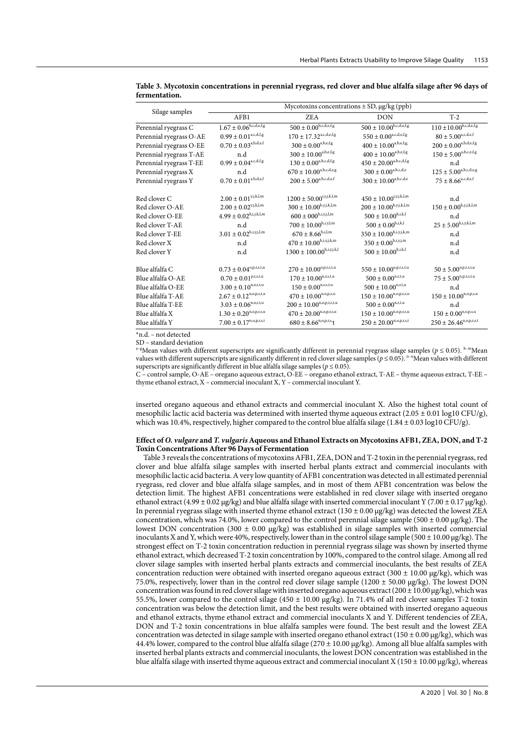|                         | Mycotoxins concentrations $\pm$ SD, $\mu$ g/kg (ppb)           |                                      |                                                               |                                                                                  |  |  |
|-------------------------|----------------------------------------------------------------|--------------------------------------|---------------------------------------------------------------|----------------------------------------------------------------------------------|--|--|
| Silage samples          | AFB1                                                           | <b>ZEA</b>                           | <b>DON</b>                                                    | $T-2$                                                                            |  |  |
| Perennial ryegrass C    | $1.67 \pm 0.06^{\rm b,c,d,e,fg}$                               | $500 \pm 0.00^{\rm b,c,d,e,f,g}$     | $500 \pm 10.00^{\mathrm{b,c,d,e,f,g}}$                        | $110 \pm 10.00^{b,c,d,e,f,g}$                                                    |  |  |
| Perennial ryegrass O-AE | $0.99\pm0.01^{\mathrm{a,c,d,f,g}}$                             | $170\pm17.32^{\text{a,c,d,e,f,g}}$   | $550\pm0.00^{\text{a,c,d,e,f,g}}$                             | $80\pm5.00^{\rm a,c,d,e,f}$                                                      |  |  |
| Perennial ryegrass O-EE | $0.70\pm0.03^{\rm a,b,d,e,f}$                                  | $300\pm0.00^{\text{a,b,e,f,g}}$      | $400\pm10.00^{\mathrm{a,b,e,f,g.}}$                           | $200\pm0.00^{\text{a,b,d,e,f,g}}$                                                |  |  |
| Perennial ryegrass T-AE | n.d                                                            | $300\pm10.00^{\mathrm{a,b,e,f,g}}$   | $400\pm10.00^{\mathrm{a,b,e,f,g}}$                            | $150 \pm 5.00^{a,b,c,e,f,g}$                                                     |  |  |
| Perennial ryegrass T-EE | $0.99\pm0.04^{\mathrm{a,c,d,f,g}}$                             | $130\pm0.00^{\mathrm{a,b,c,d,fg}}$   | $450 \pm 20.00^{a,b,c,d,f,g}$                                 | n.d                                                                              |  |  |
| Perennial ryegrass X    | n.d                                                            | $670\pm10.00^{\mathrm{a,b,c,d,e,g}}$ | $300 \pm 0.00^{\text{a},\text{b},\text{c},\text{d},\text{e}}$ | $125 \pm 5.00^{a,b,c,d,e,g}$                                                     |  |  |
| Perennial ryegrass Y    | $0.70\pm0.01^{\mathrm{a,b,d,e,f}}$                             | $200 \pm 5.00^{a,b,c,d,e,f}$         | $300 \pm 10.00^{a,b,c,d,e}$                                   | $75 \pm 8.66^{\text{a,c,d,e,f}}$                                                 |  |  |
| Red clover C            | $2.00\pm0.01^{\text{y,j,k,l,m}}$                               | $1200 \pm 50.00^{i,y,j,k,l,m}$       | $450 \pm 10.00^{\rm i,y,j,k,l,m}$                             | n.d                                                                              |  |  |
| Red clover O-AE         | $2.00\pm0.02^{\text{y,j,k,l,m}}$                               | $300\pm10.00^{\mathrm{h},y,j,k,l,m}$ | $200 \pm 10.00^{\rm h,y,j,k,l,m}$                             | $150\pm0.00^{\mathrm{h},\mathrm{y},\mathrm{j},\mathrm{k},\mathrm{l},\mathrm{m}}$ |  |  |
| Red clover O-EE         | $4.99\pm0.02^{\rm h,i,j,k,l,m}$                                | $600\pm000^{\rm h,i,y,j,l,m}$        | $500 \pm 10.00^{\rm h,i,k,l}$                                 | n.d                                                                              |  |  |
| Red clover T-AE         | n.d                                                            | $700\pm10.00^{\mathrm{h,i,y,l,m}}$   | $500 \pm 0.00^{\text{h,i,k,l}}$                               | $25\pm5.00^{\rm h,i,y,k,l,m}$                                                    |  |  |
| Red clover T-EE         | $3.01\pm0.02^{\mathrm{h,i,y,j,l,m}}$                           | $670 \pm 8.66^{\rm h,i,l,m}$         | $350\pm10.00^{\mathrm{h,i,y,j,k,m}}$                          | n.d                                                                              |  |  |
| Red clover X            | n.d                                                            | $470\pm10.00^{\mathrm{h,i,y,j,k,m}}$ | $350 \pm 0.00^{\rm h,i,y,j,m}$                                | n.d                                                                              |  |  |
| Red clover Y            | n.d                                                            | $1300 \pm 100.00^{\rm h,i,y,j,k,l}$  | $500 \pm 10.00^{\text{h,i,k,l}}$                              | n.d                                                                              |  |  |
| Blue alfalfa C          | $0.73 \pm 0.04^{\text{o},p,r,s,t,u}$                           | $270 \pm 10.00^{\text{o},p,r,s,t,u}$ | $550 \pm 10.00^{\text{o}, p, r, s, t, u}$                     | $50\pm5.00^{\mathrm{o},p,r,s,t,u}$                                               |  |  |
| Blue alfalfa O-AE       | $0.70\pm0.01^{p,r,s,t,u}$                                      | $170 \pm 10.00^{n,r,s,t,u}$          | $500 \pm 0.00^{\text{n,r,t,u}}$                               | $75 \pm 5.00^{n,p,r,s,t,u}$                                                      |  |  |
| Blue alfalfa O-EE       | $3.00 \pm 0.10^{n,o,r,t,u}$                                    | $150\pm0.00^{\mathrm{n,r,s,t,u}}$    | $500 \pm 10.00^{n,r,t,u}$                                     | n.d                                                                              |  |  |
| Blue alfalfa T-AE       | $2.67\pm0.12^{\text{n,o},\text{p},\text{s},\text{t},\text{u}}$ | $470 \pm 10.00^{\text{n,o.p,s,u}}$   | $150 \pm 10.00^{\rm n,o,p,r,s,u}$                             | $150 \pm 10.00^{\text{n,o},\text{p,s,u}}$                                        |  |  |
| Blue alfalfa T-EE       | $3.03 \pm 0.06^{n,o,r,t,u}$                                    | $200 \pm 10.00^{n,o,p,r,s,t,u}$      | $500 \pm 0.00^{\text{n,r,t,u}}$                               | n.d                                                                              |  |  |
| Blue alfalfa X          | $1.30 \pm 0.20^{\rm n.o.p.r,s,u}$                              | $470 \pm 20.00^{n,o,p,r,s,u}$        | $150 \pm 10.00^{\rm n,o,p,r,s,u}$                             | $150\pm0.00^{\mathrm{n,o,p,s,u}}$                                                |  |  |
| Blue alfalfa Y          | $7.00 \pm 0.17^{n,o,p,r,s,t}$                                  | $680 \pm 8.66^{n,o,p,r,s,t}$         | $250 \pm 20.00^{n,o,p,r,s,t}$                                 | $250 \pm 26.46^{n,o,p,r,s,t}$                                                    |  |  |

**Table 3. Mycotoxin concentrations in perennial ryegrass, red clover and blue alfalfa silage after 96 days of fermentation.**

\*n.d. – not detected

SD – standard deviation

<sup>a–g</sup>Mean values with different superscripts are significantly different in perennial ryegrass silage samples ( $p \le 0.05$ ). <sup>h–m</sup>Mean values with different superscripts are significantly different in red clover silage samples ( $p \le 0.05$ ).  $n-u$  Mean values with different superscripts are significantly different in blue alfalfa silage samples ( $p \le 0.05$ ).

C – control sample, O-AE – oregano aqueous extract, O-EE – oregano ethanol extract, T-AE – thyme aqueous extract, T-EE – thyme ethanol extract, X – commercial inoculant X, Y – commercial inoculant Y.

inserted oregano aqueous and ethanol extracts and commercial inoculant X. Also the highest total count of mesophilic lactic acid bacteria was determined with inserted thyme aqueous extract (2.05  $\pm$  0.01 log10 CFU/g), which was 10.4%, respectively, higher compared to the control blue alfalfa silage  $(1.84 \pm 0.03 \log 10 \text{ CFU/g})$ .

### **Effect of** *O. vulgare* **and** *T. vulgaris* **Aqueous and Ethanol Extracts on Mycotoxins AFB1, ZEA, DON, and T-2 Toxin Concentrations After 96 Days of Fermentation**

Table 3 reveals the concentrations of mycotoxins AFB1, ZEA, DON and T-2 toxin in the perennial ryegrass, red clover and blue alfalfa silage samples with inserted herbal plants extract and commercial inoculants with mesophilic lactic acid bacteria. A very low quantity of AFB1 concentration was detected in all estimated perennial ryegrass, red clover and blue alfalfa silage samples, and in most of them AFB1 concentration was below the detection limit. The highest AFB1 concentrations were established in red clover silage with inserted oregano ethanol extract (4.99  $\pm$  0.02 μg/kg) and blue alfalfa silage with inserted commercial inoculant Y (7.00  $\pm$  0.17 μg/kg). In perennial ryegrass silage with inserted thyme ethanol extract ( $130 \pm 0.00$  µg/kg) was detected the lowest ZEA concentration, which was 74.0%, lower compared to the control perennial silage sample (500  $\pm$  0.00 µg/kg). The lowest DON concentration (300  $\pm$  0.00 μg/kg) was established in silage samples with inserted commercial inoculants X and Y, which were 40%, respectively, lower than in the control silage sample (500 ± 10.00 μg/kg). The strongest effect on T-2 toxin concentration reduction in perennial ryegrass silage was shown by inserted thyme ethanol extract, which decreased T-2 toxin concentration by 100%, compared to the control silage. Among all red clover silage samples with inserted herbal plants extracts and commercial inoculants, the best results of ZEA concentration reduction were obtained with inserted oregano aqueous extract (300 ± 10.00 μg/kg), which was 75.0%, respectively, lower than in the control red clover silage sample (1200  $\pm$  50.00  $\mu$ g/kg). The lowest DON concentration was found in red clover silage with inserted oregano aqueous extract  $(200 \pm 10.00 \,\mu g/kg)$ , which was 55.5%, lower compared to the control silage (450  $\pm$  10.00  $\mu$ g/kg). In 71.4% of all red clover samples T-2 toxin concentration was below the detection limit, and the best results were obtained with inserted oregano aqueous and ethanol extracts, thyme ethanol extract and commercial inoculants X and Y. Different tendencies of ZEA, DON and T-2 toxin concentrations in blue alfalfa samples were found. The best result and the lowest ZEA concentration was detected in silage sample with inserted oregano ethanol extract (150  $\pm$  0.00 µg/kg), which was 44.4% lower, compared to the control blue alfalfa silage (270  $\pm$  10.00 µg/kg). Among all blue alfalfa samples with inserted herbal plants extracts and commercial inoculants, the lowest DON concentration was established in the blue alfalfa silage with inserted thyme aqueous extract and commercial inoculant X ( $150 \pm 10.00 \,\mu g/kg$ ), whereas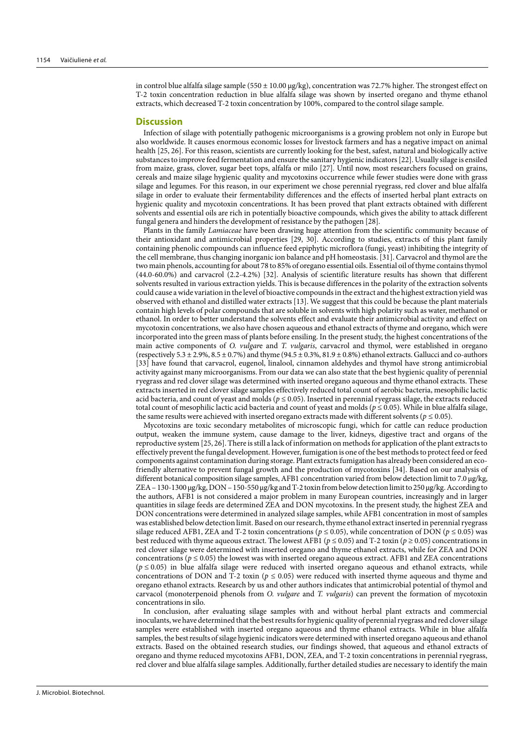in control blue alfalfa silage sample (550  $\pm$  10.00  $\mu$ g/kg), concentration was 72.7% higher. The strongest effect on T-2 toxin concentration reduction in blue alfalfa silage was shown by inserted oregano and thyme ethanol extracts, which decreased T-2 toxin concentration by 100%, compared to the control silage sample.

#### **Discussion**

Infection of silage with potentially pathogenic microorganisms is a growing problem not only in Europe but also worldwide. It causes enormous economic losses for livestock farmers and has a negative impact on animal health [25, 26]. For this reason, scientists are currently looking for the best, safest, natural and biologically active substances to improve feed fermentation and ensure the sanitary hygienic indicators [22]. Usually silage is ensiled from maize, grass, clover, sugar beet tops, alfalfa or milo [27]. Until now, most researchers focused on grains, cereals and maize silage hygienic quality and mycotoxins occurrence while fewer studies were done with grass silage and legumes. For this reason, in our experiment we chose perennial ryegrass, red clover and blue alfalfa silage in order to evaluate their fermentability differences and the effects of inserted herbal plant extracts on hygienic quality and mycotoxin concentrations. It has been proved that plant extracts obtained with different solvents and essential oils are rich in potentially bioactive compounds, which gives the ability to attack different fungal genera and hinders the development of resistance by the pathogen [28].

Plants in the family *Lamiaceae* have been drawing huge attention from the scientific community because of their antioxidant and antimicrobial properties [29, 30]. According to studies, extracts of this plant family containing phenolic compounds can influence feed epiphytic microflora (fungi, yeast) inhibiting the integrity of the cell membrane, thus changing inorganic ion balance and pH homeostasis. [31]. Carvacrol and thymol are the two main phenols, accounting for about 78 to 85% of oregano essential oils. Essential oil of thyme contains thymol (44.0-60.0%) and carvacrol (2.2-4.2%) [32]. Analysis of scientific literature results has shown that different solvents resulted in various extraction yields. This is because differences in the polarity of the extraction solvents could cause a wide variation in the level of bioactive compounds in the extract and the highest extraction yield was observed with ethanol and distilled water extracts [13]. We suggest that this could be because the plant materials contain high levels of polar compounds that are soluble in solvents with high polarity such as water, methanol or ethanol. In order to better understand the solvents effect and evaluate their antimicrobial activity and effect on mycotoxin concentrations, we also have chosen aqueous and ethanol extracts of thyme and oregano, which were incorporated into the green mass of plants before ensiling. In the present study, the highest concentrations of the main active components of *O. vulgar*e and *T. vulgaris*, carvacrol and thymol, were established in oregano (respectively 5.3  $\pm$  2.9%, 8.5  $\pm$  0.7%) and thyme (94.5  $\pm$  0.3%, 81.9  $\pm$  0.8%) ethanol extracts. Gallucci and co-authors [33] have found that carvacrol, eugenol, linalool, cinnamon aldehydes and thymol have strong antimicrobial activity against many microorganisms. From our data we can also state that the best hygienic quality of perennial ryegrass and red clover silage was determined with inserted oregano aqueous and thyme ethanol extracts. These extracts inserted in red clover silage samples effectively reduced total count of aerobic bacteria, mesophilic lactic acid bacteria, and count of yeast and molds ( $p \le 0.05$ ). Inserted in perennial ryegrass silage, the extracts reduced total count of mesophilic lactic acid bacteria and count of yeast and molds ( $p \le 0.05$ ). While in blue alfalfa silage, the same results were achieved with inserted oregano extracts made with different solvents ( $p \le 0.05$ ).

Mycotoxins are toxic secondary metabolites of microscopic fungi, which for cattle can reduce production output, weaken the immune system, cause damage to the liver, kidneys, digestive tract and organs of the reproductive system [25, 26]. There is still a lack of information on methods for application of the plant extracts to effectively prevent the fungal development. However, fumigation is one of the best methods to protect feed or feed components against contamination during storage. Plant extracts fumigation has already been considered an ecofriendly alternative to prevent fungal growth and the production of mycotoxins [34]. Based on our analysis of different botanical composition silage samples, AFB1 concentration varied from below detection limit to 7.0 μg/kg, ZEA – 130-1300 μg/kg, DON – 150-550 μg/kg and T-2 toxin from below detection limit to 250 μg/kg. According to the authors, AFB1 is not considered a major problem in many European countries, increasingly and in larger quantities in silage feeds are determined ZEA and DON mycotoxins. In the present study, the highest ZEA and DON concentrations were determined in analyzed silage samples, while AFB1 concentration in most of samples was established below detection limit. Based on our research, thyme ethanol extract inserted in perennial ryegrass silage reduced AFB1, ZEA and T-2 toxin concentrations ( $p \le 0.05$ ), while concentration of DON ( $p \le 0.05$ ) was best reduced with thyme aqueous extract. The lowest AFB1 ( $p \le 0.05$ ) and T-2 toxin ( $p \ge 0.05$ ) concentrations in red clover silage were determined with inserted oregano and thyme ethanol extracts, while for ZEA and DON concentrations ( $p \le 0.05$ ) the lowest was with inserted oregano aqueous extract. AFB1 and ZEA concentrations  $(p \le 0.05)$  in blue alfalfa silage were reduced with inserted oregano aqueous and ethanol extracts, while concentrations of DON and T-2 toxin ( $p \le 0.05$ ) were reduced with inserted thyme aqueous and thyme and oregano ethanol extracts. Research by us and other authors indicates that antimicrobial potential of thymol and carvacol (monoterpenoid phenols from *O. vulgare* and *T. vulgaris*) can prevent the formation of mycotoxin concentrations in silo.

In conclusion, after evaluating silage samples with and without herbal plant extracts and commercial inoculants, we have determined that the best results for hygienic quality of perennial ryegrass and red clover silage samples were established with inserted oregano aqueous and thyme ethanol extracts. While in blue alfalfa samples, the best results of silage hygienic indicators were determined with inserted oregano aqueous and ethanol extracts. Based on the obtained research studies, our findings showed, that aqueous and ethanol extracts of oregano and thyme reduced mycotoxins AFB1, DON, ZEA, and T-2 toxin concentrations in perennial ryegrass, red clover and blue alfalfa silage samples. Additionally, further detailed studies are necessary to identify the main